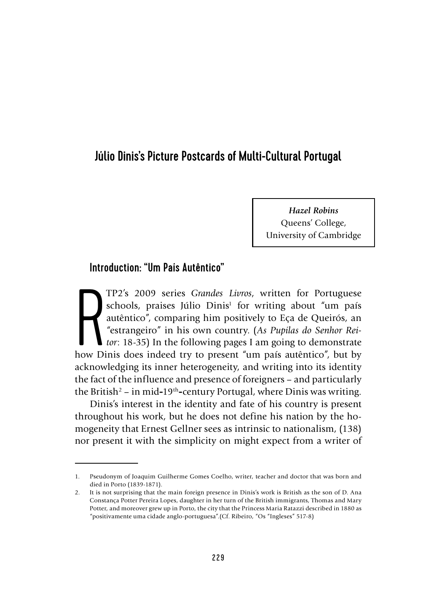# Júlio Dinis's Picture Postcards of Multi-Cultural Portugal

*Hazel Robins* Queens' College, University of Cambridge

# Introduction: "Um País Autêntico"

TP2's 2009 series *Grandes Livros*, written for Portuguese schools, praises Júlio Dinis<sup>1</sup> for writing about "um país autêntico", comparing him positively to Eça de Queirós, an "estrangeiro" in his own country. (As Pupilas TP2's 2009 series *Grandes Livros*, written for Portuguese schools, praises Júlio Dinis<sup>1</sup> for writing about "um país autêntico", comparing him positively to Eça de Queirós, an "estrangeiro" in his own country. (*As Pupilas do Senhor Reitor*: 18-35) In the following pages I am going to demonstrate acknowledging its inner heterogeneity, and writing into its identity the fact of the influence and presence of foreigners – and particularly the British2 – in mid**-**19th**-**century Portugal, where Dinis was writing.

Dinis's interest in the identity and fate of his country is present throughout his work, but he does not define his nation by the homogeneity that Ernest Gellner sees as intrinsic to nationalism, (138) nor present it with the simplicity on might expect from a writer of

<sup>1.</sup> Pseudonym of Joaquim Guilherme Gomes Coelho, writer, teacher and doctor that was born and died in Porto (1839-1871).

<sup>2.</sup> It is not surprising that the main foreign presence in Dinis's work is British as the son of D. Ana Constança Potter Pereira Lopes, daughter in her turn of the British immigrants, Thomas and Mary Potter, and moreover grew up in Porto, the city that the Princess Maria Ratazzi described in 1880 as "positivamente uma cidade anglo-portuguesa".(Cf. Ribeiro, "Os "Ingleses" 517-8)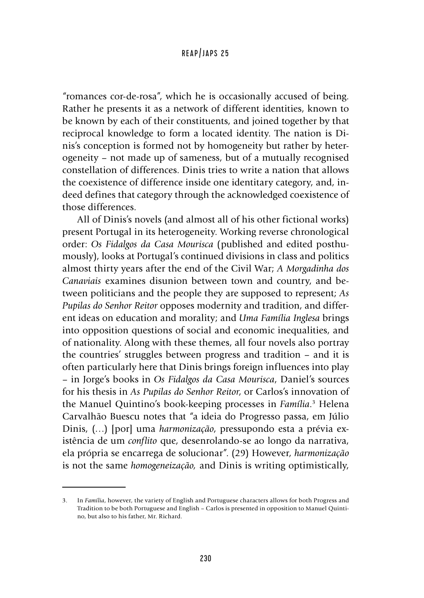"romances cor-de-rosa", which he is occasionally accused of being. Rather he presents it as a network of different identities, known to be known by each of their constituents, and joined together by that reciprocal knowledge to form a located identity. The nation is Dinis's conception is formed not by homogeneity but rather by heterogeneity – not made up of sameness, but of a mutually recognised constellation of differences. Dinis tries to write a nation that allows the coexistence of difference inside one identitary category, and, indeed defines that category through the acknowledged coexistence of those differences.

All of Dinis's novels (and almost all of his other fictional works) present Portugal in its heterogeneity. Working reverse chronological order: *Os Fidalgos da Casa Mourisca* (published and edited posthumously), looks at Portugal's continued divisions in class and politics almost thirty years after the end of the Civil War; *A Morgadinha dos Canaviais* examines disunion between town and country, and between politicians and the people they are supposed to represent; *As Pupilas do Senhor Reitor* opposes modernity and tradition, and different ideas on education and morality; and *Uma Família Inglesa* brings into opposition questions of social and economic inequalities, and of nationality. Along with these themes, all four novels also portray the countries' struggles between progress and tradition – and it is often particularly here that Dinis brings foreign influences into play – in Jorge's books in *Os Fidalgos da Casa Mourisca*, Daniel's sources for his thesis in *As Pupilas do Senhor Reitor*, or Carlos's innovation of the Manuel Quintino's book-keeping processes in *Família*. 3 Helena Carvalhão Buescu notes that "a ideia do Progresso passa, em Júlio Dinis, (…) [por] uma *harmonização*, pressupondo esta a prévia existência de um *conflito* que, desenrolando-se ao longo da narrativa, ela própria se encarrega de solucionar". (29) However, *harmonização*  is not the same *homogeneização,* and Dinis is writing optimistically,

<sup>3.</sup> In *Família*, however, the variety of English and Portuguese characters allows for both Progress and Tradition to be both Portuguese and English – Carlos is presented in opposition to Manuel Quintino, but also to his father, Mr. Richard.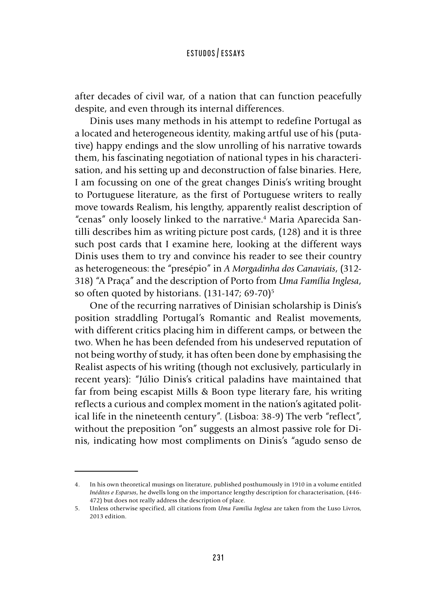after decades of civil war, of a nation that can function peacefully despite, and even through its internal differences.

Dinis uses many methods in his attempt to redefine Portugal as a located and heterogeneous identity, making artful use of his (putative) happy endings and the slow unrolling of his narrative towards them, his fascinating negotiation of national types in his characterisation, and his setting up and deconstruction of false binaries. Here, I am focussing on one of the great changes Dinis's writing brought to Portuguese literature, as the first of Portuguese writers to really move towards Realism, his lengthy, apparently realist description of "cenas" only loosely linked to the narrative.4 Maria Aparecida Santilli describes him as writing picture post cards, (128) and it is three such post cards that I examine here, looking at the different ways Dinis uses them to try and convince his reader to see their country as heterogeneous: the "presépio" in *A Morgadinha dos Canaviais*, (312- 318) "A Praça" and the description of Porto from *Uma Família Inglesa*, so often quoted by historians.  $(131-147; 69-70)^5$ 

One of the recurring narratives of Dinisian scholarship is Dinis's position straddling Portugal's Romantic and Realist movements, with different critics placing him in different camps, or between the two. When he has been defended from his undeserved reputation of not being worthy of study, it has often been done by emphasising the Realist aspects of his writing (though not exclusively, particularly in recent years): "Júlio Dinis's critical paladins have maintained that far from being escapist Mills & Boon type literary fare, his writing reflects a curious and complex moment in the nation's agitated political life in the nineteenth century". (Lisboa: 38-9) The verb "reflect", without the preposition "on" suggests an almost passive role for Dinis, indicating how most compliments on Dinis's "agudo senso de

<sup>4.</sup> In his own theoretical musings on literature, published posthumously in 1910 in a volume entitled *Inéditos e Esparsos*, he dwells long on the importance lengthy description for characterisation, (446- 472) but does not really address the description of place.

<sup>5.</sup> Unless otherwise specified, all citations from *Uma Família Inglesa* are taken from the Luso Livros, 2013 edition.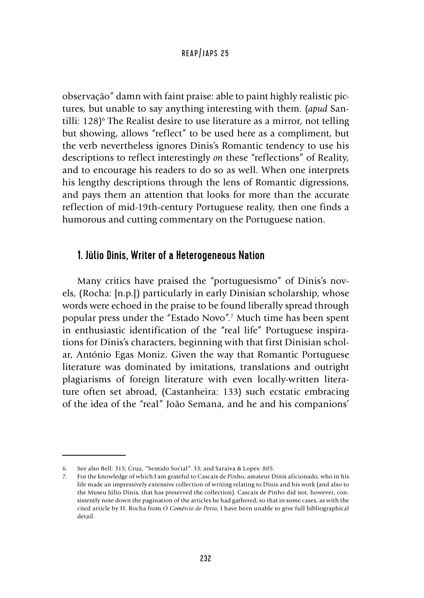observação" damn with faint praise: able to paint highly realistic pictures, but unable to say anything interesting with them. (*apud* Santilli: 128<sup>o</sup> The Realist desire to use literature as a mirror, not telling but showing, allows "reflect" to be used here as a compliment, but the verb nevertheless ignores Dinis's Romantic tendency to use his descriptions to reflect interestingly *on* these "reflections" of Reality, and to encourage his readers to do so as well. When one interprets his lengthy descriptions through the lens of Romantic digressions, and pays them an attention that looks for more than the accurate reflection of mid-19th-century Portuguese reality, then one finds a humorous and cutting commentary on the Portuguese nation.

## 1. Júlio Dinis, Writer of a Heterogeneous Nation

Many critics have praised the "portuguesismo" of Dinis's novels, (Rocha: [n.p.]) particularly in early Dinisian scholarship, whose words were echoed in the praise to be found liberally spread through popular press under the "Estado Novo"*.* <sup>7</sup> Much time has been spent in enthusiastic identification of the "real life" Portuguese inspirations for Dinis's characters, beginning with that first Dinisian scholar, António Egas Moniz. Given the way that Romantic Portuguese literature was dominated by imitations, translations and outright plagiarisms of foreign literature with even locally-written literature often set abroad, (Castanheira: 133) such ecstatic embracing of the idea of the "real" João Semana, and he and his companions'

<sup>6.</sup> See also Bell: 315; Cruz, "Sentido Social": 33; and Saraiva & Lopes: 805.

<sup>7.</sup> For the knowledge of which I am grateful to Cascais de Pinho, amateur Dinis aficionado, who in his life made an impressively extensive collection of writing relating to Dinis and his work (and also to the Museu Júlio Dinis, that has preserved the collection). Cascais de Pinho did not, however, consistently note down the pagination of the articles he had gathered, so that in some cases, as with the cited article by H. Rocha from *O Comércio do Porto*, I have been unable to give full bibliographical detail.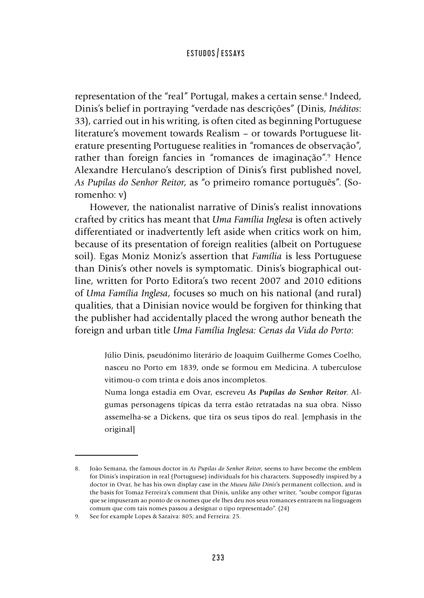representation of the "real" Portugal, makes a certain sense.<sup>8</sup> Indeed, Dinis's belief in portraying "verdade nas descrições" (Dinis, *Inéditos*: 33), carried out in his writing, is often cited as beginning Portuguese literature's movement towards Realism – or towards Portuguese literature presenting Portuguese realities in "romances de observação", rather than foreign fancies in "romances de imaginação".<sup>9</sup> Hence Alexandre Herculano's description of Dinis's first published novel, *As Pupilas do Senhor Reitor*, as "o primeiro romance português". (Soromenho: v)

However, the nationalist narrative of Dinis's realist innovations crafted by critics has meant that *Uma Família Inglesa* is often actively differentiated or inadvertently left aside when critics work on him, because of its presentation of foreign realities (albeit on Portuguese soil). Egas Moniz Moniz's assertion that *Família* is less Portuguese than Dinis's other novels is symptomatic. Dinis's biographical outline, written for Porto Editora's two recent 2007 and 2010 editions of *Uma Família Inglesa*, focuses so much on his national (and rural) qualities, that a Dinisian novice would be forgiven for thinking that the publisher had accidentally placed the wrong author beneath the foreign and urban title *Uma Família Inglesa: Cenas da Vida do Porto*:

Júlio Dinis, pseudónimo literário de Joaquim Guilherme Gomes Coelho, nasceu no Porto em 1839, onde se formou em Medicina. A tuberculose vitimou-o com trinta e dois anos incompletos.

Numa longa estadia em Ovar, escreveu *As Pupilas do Senhor Reitor*. Algumas personagens típicas da terra estão retratadas na sua obra. Nisso assemelha-se a Dickens, que tira os seus tipos do real. [emphasis in the original]

<sup>8.</sup> João Semana, the famous doctor in *As Pupilas do Senhor Reitor*, seems to have become the emblem for Dinis's inspiration in real (Portuguese) individuals for his characters. Supposedly inspired by a doctor in Ovar, he has his own display case in the *Museu Júlio Dinis*'s permanent collection, and is the basis for Tomaz Ferreira's comment that Dinis, unlike any other writer, "soube compor figuras que se impuseram ao ponto de os nomes que ele lhes deu nos seus romances entrarem na linguagem comum que com tais nomes passou a designar o tipo representado". (24)

<sup>9.</sup> See for example Lopes & Saraiva: 805; and Ferreira: 25.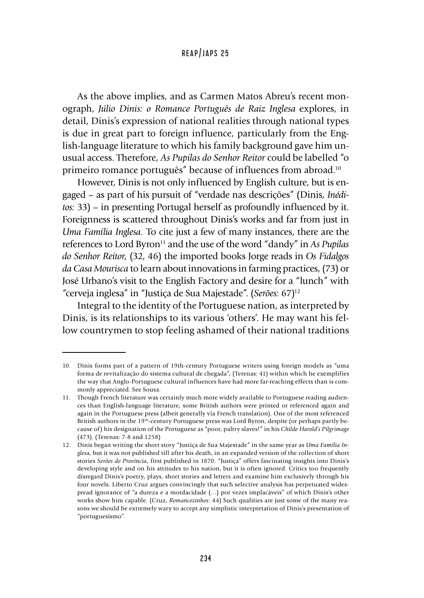As the above implies, and as Carmen Matos Abreu's recent monograph, *Júlio Dinis: o Romance Português de Raiz Inglesa* explores, in detail, Dinis's expression of national realities through national types is due in great part to foreign influence, particularly from the English-language literature to which his family background gave him unusual access. Therefore, *As Pupilas do Senhor Reitor* could be labelled "o primeiro romance português" because of influences from abroad.10

However, Dinis is not only influenced by English culture, but is engaged – as part of his pursuit of "verdade nas descrições" (Dinis, *Inéditos:* 33) – in presenting Portugal herself as profoundly influenced by it. Foreignness is scattered throughout Dinis's works and far from just in *Uma Família Inglesa.* To cite just a few of many instances, there are the references to Lord Byron<sup>11</sup> and the use of the word "dandy" in *As Pupilas do Senhor Reitor*, (32, 46) the imported books Jorge reads in *Os Fidalgos da Casa Mourisca* to learn about innovations in farming practices, (73) or José Urbano's visit to the English Factory and desire for a "lunch" with "cerveja inglesa" in "Justiça de Sua Majestade". (*Serões:* 67)12

Integral to the identity of the Portuguese nation, as interpreted by Dinis, is its relationships to its various 'others'. He may want his fellow countrymen to stop feeling ashamed of their national traditions

<sup>10.</sup> Dinis forms part of a pattern of 19th-century Portuguese writers using foreign models as "uma forma de revitalização do sistema cultural de chegada", (Terenas: 41) within which he exemplifies the way that Anglo-Portuguese cultural influences have had more far-reaching effects than is commonly appreciated. See Sousa.

<sup>11.</sup> Though French literature was certainly much more widely available to Portuguese reading audiences than English-language literature, some British authors were printed or referenced again and again in the Portuguese press (albeit generally via French translation). One of the most referenced British authors in the 19th**-**century Portuguese press was Lord Byron, despite (or perhaps partly because of) his designation of the Portuguese as "poor, paltry slaves!" in his *Childe Harold's Pilgrimage* (473). (Terenas: 7-8 and 1258)

<sup>12.</sup> Dinis began writing the short story "Justiça de Sua Majestade" in the same year as *Uma Família Inglesa*, but it was not published till after his death, in an expanded version of the collection of short stories *Serões de Província*, first published in 1870. "Justiça" offers fascinating insights into Dinis's developing style and on his attitudes to his nation, but it is often ignored. Critics too frequently disregard Dinis's poetry, plays, short stories and letters and examine him exclusively through his four novels. Liberto Cruz argues convincingly that such selective analysis has perpetuated widespread ignorance of "a dureza e a mordacidade (…) por vezes implacáveis" of which Dinis's other works show him capable. (Cruz, *Romancezinhos*: 44) Such qualities are just some of the many reasons we should be extremely wary to accept any simplistic interpretation of Dinis's presentation of "portuguesismo".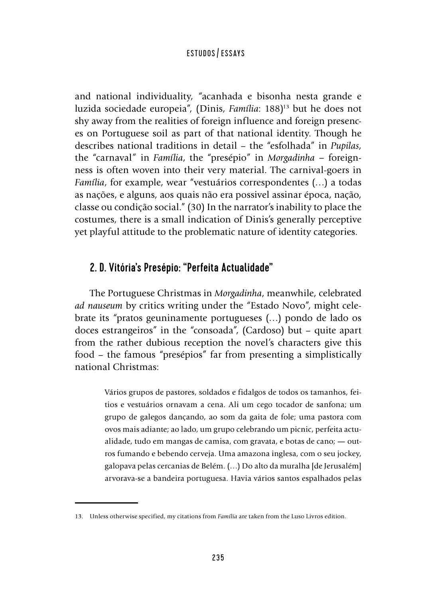and national individuality, "acanhada e bisonha nesta grande e luzida sociedade europeia", (Dinis, *Família*: 188)13 but he does not shy away from the realities of foreign influence and foreign presences on Portuguese soil as part of that national identity. Though he describes national traditions in detail – the "esfolhada" in *Pupilas*, the "carnaval" in *Família*, the "presépio" in *Morgadinha –* foreignness is often woven into their very material. The carnival-goers in *Família*, for example, wear "vestuários correspondentes (…) a todas as nações, e alguns, aos quais não era possivel assinar época, nação, classe ou condição social." (30) In the narrator's inability to place the costumes, there is a small indication of Dinis's generally perceptive yet playful attitude to the problematic nature of identity categories.

# 2. D. Vitória's Presépio: "Perfeita Actualidade"

The Portuguese Christmas in *Morgadinha*, meanwhile, celebrated *ad nauseum* by critics writing under the "Estado Novo", might celebrate its "pratos geuninamente portugueses (…) pondo de lado os doces estrangeiros" in the "consoada", (Cardoso) but – quite apart from the rather dubious reception the novel's characters give this food – the famous "presépios" far from presenting a simplistically national Christmas:

> Vários grupos de pastores, soldados e fidalgos de todos os tamanhos, feitios e vestuários ornavam a cena. Ali um cego tocador de sanfona; um grupo de galegos dançando, ao som da gaita de fole; uma pastora com ovos mais adiante; ao lado, um grupo celebrando um picnic, perfeita actualidade, tudo em mangas de camisa, com gravata, e botas de cano; **—** outros fumando e bebendo cerveja. Uma amazona inglesa, com o seu jockey, galopava pelas cercanias de Belém. (…) Do alto da muralha [de Jerusalém] arvorava-se a bandeira portuguesa. Havia vários santos espalhados pelas

<sup>13.</sup> Unless otherwise specified, my citations from *Família* are taken from the Luso Livros edition.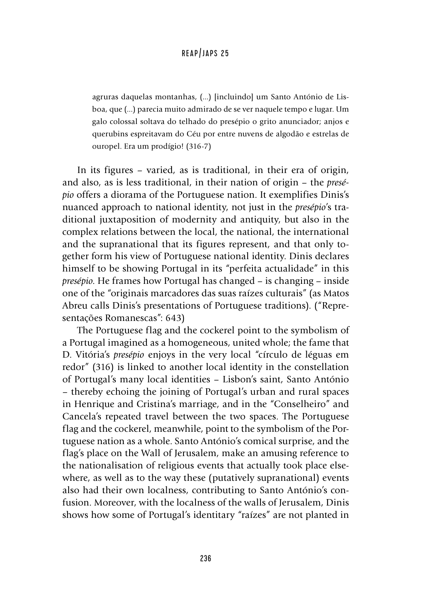agruras daquelas montanhas, (...) [incluindo] um Santo António de Lisboa, que (...) parecia muito admirado de se ver naquele tempo e lugar. Um galo colossal soltava do telhado do presépio o grito anunciador; anjos e querubins espreitavam do Céu por entre nuvens de algodão e estrelas de ouropel. Era um prodígio! (316-7)

In its figures – varied, as is traditional, in their era of origin, and also, as is less traditional, in their nation of origin – the *presépio* offers a diorama of the Portuguese nation. It exemplifies Dinis's nuanced approach to national identity, not just in the *presépio*'s traditional juxtaposition of modernity and antiquity, but also in the complex relations between the local, the national, the international and the supranational that its figures represent, and that only together form his view of Portuguese national identity. Dinis declares himself to be showing Portugal in its "perfeita actualidade" in this *presépio*. He frames how Portugal has changed – is changing – inside one of the "originais marcadores das suas raízes culturais" (as Matos Abreu calls Dinis's presentations of Portuguese traditions). ("Representações Romanescas": 643)

The Portuguese flag and the cockerel point to the symbolism of a Portugal imagined as a homogeneous, united whole; the fame that D. Vitória's *presépio* enjoys in the very local "círculo de léguas em redor" (316) is linked to another local identity in the constellation of Portugal's many local identities – Lisbon's saint, Santo António – thereby echoing the joining of Portugal's urban and rural spaces in Henrique and Cristina's marriage, and in the "Conselheiro" and Cancela's repeated travel between the two spaces. The Portuguese flag and the cockerel, meanwhile, point to the symbolism of the Portuguese nation as a whole. Santo António's comical surprise, and the flag's place on the Wall of Jerusalem, make an amusing reference to the nationalisation of religious events that actually took place elsewhere, as well as to the way these (putatively supranational) events also had their own localness, contributing to Santo António's confusion. Moreover, with the localness of the walls of Jerusalem, Dinis shows how some of Portugal's identitary "raízes" are not planted in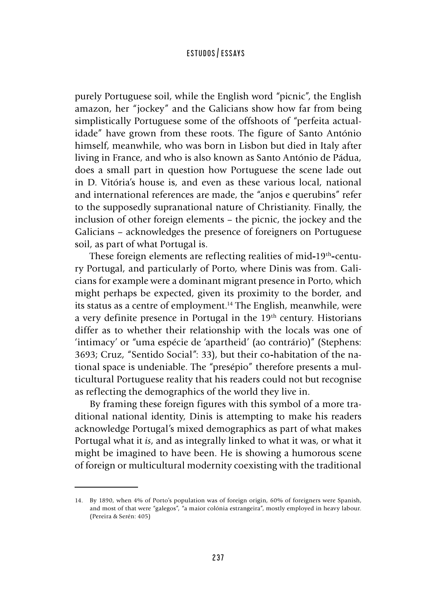purely Portuguese soil, while the English word "picnic", the English amazon, her "jockey" and the Galicians show how far from being simplistically Portuguese some of the offshoots of "perfeita actualidade" have grown from these roots. The figure of Santo António himself, meanwhile, who was born in Lisbon but died in Italy after living in France, and who is also known as Santo António de Pádua, does a small part in question how Portuguese the scene lade out in D. Vitória's house is, and even as these various local, national and international references are made, the "anjos e querubins" refer to the supposedly supranational nature of Christianity. Finally, the inclusion of other foreign elements – the picnic, the jockey and the Galicians – acknowledges the presence of foreigners on Portuguese soil, as part of what Portugal is.

These foreign elements are reflecting realities of mid**-**19th**-**century Portugal, and particularly of Porto, where Dinis was from. Galicians for example were a dominant migrant presence in Porto, which might perhaps be expected, given its proximity to the border, and its status as a centre of employment.<sup>14</sup> The English, meanwhile, were a very definite presence in Portugal in the 19<sup>th</sup> century. Historians differ as to whether their relationship with the locals was one of 'intimacy' or "uma espécie de 'apartheid' (ao contrário)" (Stephens: 3693; Cruz, "Sentido Social": 33), but their co**-**habitation of the national space is undeniable. The "presépio" therefore presents a multicultural Portuguese reality that his readers could not but recognise as reflecting the demographics of the world they live in.

By framing these foreign figures with this symbol of a more traditional national identity, Dinis is attempting to make his readers acknowledge Portugal's mixed demographics as part of what makes Portugal what it *is*, and as integrally linked to what it was, or what it might be imagined to have been. He is showing a humorous scene of foreign or multicultural modernity coexisting with the traditional

<sup>14.</sup> By 1890, when 4% of Porto's population was of foreign origin, 60% of foreigners were Spanish, and most of that were "galegos", "a maior colónia estrangeira", mostly employed in heavy labour. (Pereira & Serén: 405)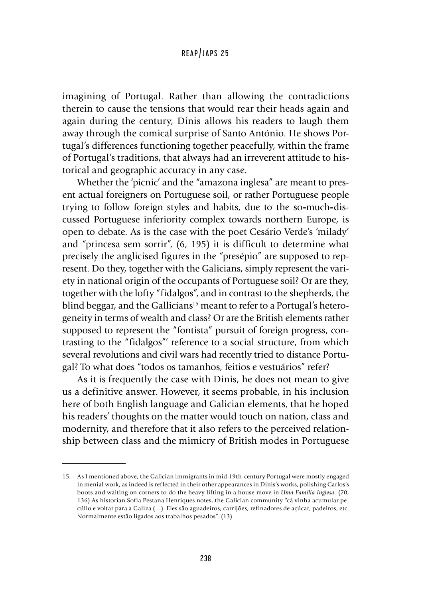imagining of Portugal. Rather than allowing the contradictions therein to cause the tensions that would rear their heads again and again during the century, Dinis allows his readers to laugh them away through the comical surprise of Santo António. He shows Portugal's differences functioning together peacefully, within the frame of Portugal's traditions, that always had an irreverent attitude to historical and geographic accuracy in any case.

Whether the 'picnic' and the "amazona inglesa" are meant to present actual foreigners on Portuguese soil, or rather Portuguese people trying to follow foreign styles and habits, due to the so**-**much**-**discussed Portuguese inferiority complex towards northern Europe, is open to debate. As is the case with the poet Cesário Verde's 'milady' and "princesa sem sorrir", (6, 195) it is difficult to determine what precisely the anglicised figures in the "presépio" are supposed to represent. Do they, together with the Galicians, simply represent the variety in national origin of the occupants of Portuguese soil? Or are they, together with the lofty "fidalgos", and in contrast to the shepherds, the blind beggar, and the Gallicians<sup>15</sup> meant to refer to a Portugal's heterogeneity in terms of wealth and class? Or are the British elements rather supposed to represent the "fontista" pursuit of foreign progress, contrasting to the "fidalgos"' reference to a social structure, from which several revolutions and civil wars had recently tried to distance Portugal? To what does "todos os tamanhos, feitios e vestuários" refer?

As it is frequently the case with Dinis, he does not mean to give us a definitive answer. However, it seems probable, in his inclusion here of both English language and Galician elements, that he hoped his readers' thoughts on the matter would touch on nation, class and modernity, and therefore that it also refers to the perceived relationship between class and the mimicry of British modes in Portuguese

<sup>15.</sup> As I mentioned above, the Galician immigrants in mid-19th-century Portugal were mostly engaged in menial work, as indeed is reflected in their other appearances in Dinis's works, polishing Carlos's boots and waiting on corners to do the heavy lifting in a house move in *Uma Família Inglesa.* (70, 136) As historian Sofia Pestana Henriques notes, the Galician community "cá vinha acumular pecúlio e voltar para a Galiza (…). Eles são aguadeiros, carrijões, refinadores de açúcar, padeiros, etc. Normalmente estão ligados aos trabalhos pesados". (13)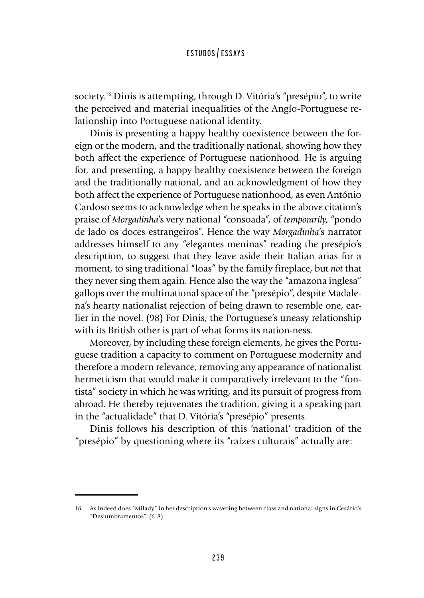society.16 Dinis is attempting, through D. Vitória's "presépio", to write the perceived and material inequalities of the Anglo-Portuguese relationship into Portuguese national identity.

Dinis is presenting a happy healthy coexistence between the foreign or the modern, and the traditionally national, showing how they both affect the experience of Portuguese nationhood. He is arguing for, and presenting, a happy healthy coexistence between the foreign and the traditionally national, and an acknowledgment of how they both affect the experience of Portuguese nationhood, as even António Cardoso seems to acknowledge when he speaks in the above citation's praise of *Morgadinha*'s very national "consoada", of *temporarily*, "pondo de lado os doces estrangeiros". Hence the way *Morgadinha*'s narrator addresses himself to any "elegantes meninas" reading the presépio's description, to suggest that they leave aside their Italian arias for a moment, to sing traditional "loas" by the family fireplace, but *not* that they never sing them again. Hence also the way the "amazona inglesa" gallops over the multinational space of the "presépio", despite Madalena's hearty nationalist rejection of being drawn to resemble one, earlier in the novel. (98) For Dinis, the Portuguese's uneasy relationship with its British other is part of what forms its nation-ness.

Moreover, by including these foreign elements, he gives the Portuguese tradition a capacity to comment on Portuguese modernity and therefore a modern relevance, removing any appearance of nationalist hermeticism that would make it comparatively irrelevant to the "fontista" society in which he was writing, and its pursuit of progress from abroad. He thereby rejuvenates the tradition, giving it a speaking part in the "actualidade" that D. Vitória's "presépio" presents.

Dinis follows his description of this 'national' tradition of the "presépio" by questioning where its "raízes culturais" actually are:

<sup>16.</sup> As indeed does "Milady" in her description's wavering between class and national signs in Cesário's "Deslumbramentos". (6-8)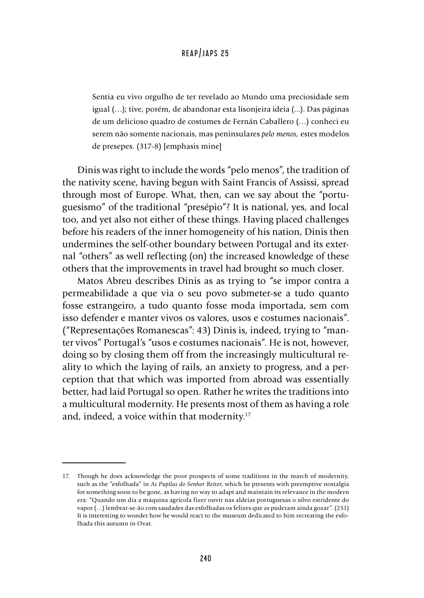Sentia eu vivo orgulho de ter revelado ao Mundo uma preciosidade sem igual (…); tive, porém, de abandonar esta lisonjeira ideia (...). Das páginas de um delicioso quadro de costumes de Fernán Caballero (…) conheci eu serem não somente nacionais, mas peninsulares *pelo menos,* estes modelos de presepes. (317-8) [emphasis mine]

Dinis was right to include the words "pelo menos", the tradition of the nativity scene, having begun with Saint Francis of Assissi, spread through most of Europe. What, then, can we say about the "portuguesismo" of the traditional "presépio"? It is national, yes, and local too, and yet also not either of these things. Having placed challenges before his readers of the inner homogeneity of his nation, Dinis then undermines the self-other boundary between Portugal and its external "others" as well reflecting (on) the increased knowledge of these others that the improvements in travel had brought so much closer.

Matos Abreu describes Dinis as as trying to "se impor contra a permeabilidade a que via o seu povo submeter-se a tudo quanto fosse estrangeiro, a tudo quanto fosse moda importada, sem com isso defender e manter vivos os valores, usos e costumes nacionais". ("Representações Romanescas": 43) Dinis is, indeed, trying to "manter vivos" Portugal's "usos e costumes nacionais". He is not, however, doing so by closing them off from the increasingly multicultural reality to which the laying of rails, an anxiety to progress, and a perception that that which was imported from abroad was essentially better, had laid Portugal so open. Rather he writes the traditions into a multicultural modernity. He presents most of them as having a role and, indeed, a voice within that modernity.17

<sup>17.</sup> Though he does acknowledge the poor prospects of some traditions in the march of modernity, such as the "esfolhada" in *As Pupilas do Senhor Reitor*, which he presents with preemptive nostalgia for something soon to be gone, as having no way to adapt and maintain its relevance in the modern era: "Quando um dia a máquina agrícola fizer ouvir nas aldeias portuguesas o silvo estridente do vapor (…) lembrar-se-ão com saudades das esfolhadas os felizes que as puderam ainda gozar". (251) It is interesting to wonder how he would react to the museum dedicated to him recreating the esfolhada this autumn in Ovar.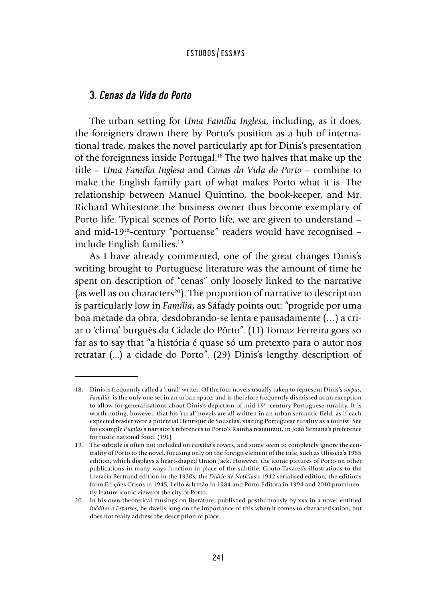## 3. *Cenas da Vida do Porto*

The urban setting for *Uma Família Inglesa*, including, as it does, the foreigners drawn there by Porto's position as a hub of international trade, makes the novel particularly apt for Dinis's presentation of the foreignness inside Portugal.18 The two halves that make up the title – *Uma Família Inglesa* and *Cenas da Vida do Porto* – combine to make the English family part of what makes Porto what it is. The relationship between Manuel Quintino, the book-keeper, and Mr. Richard Whitestone the business owner thus become exemplary of Porto life. Typical scenes of Porto life, we are given to understand – and mid**-**19th**-**century "portuense" readers would have recognised – include English families.<sup>19</sup>

As I have already commented, one of the great changes Dinis's writing brought to Portuguese literature was the amount of time he spent on description of "cenas" only loosely linked to the narrative (as well as on characters<sup>20</sup>). The proportion of narrative to description is particularly low in *Família*, as Sáfady points out: "progride por uma boa metade da obra, desdobrando-se lenta e pausadamente (…) a criar o 'clima' burguês da Cidade do Pôrto". (11) Tomaz Ferreira goes so far as to say that "a história é quase só um pretexto para o autor nos retratar (...) a cidade do Porto". (29) Dinis's lengthy description of

<sup>18.</sup> Dinis is frequently called a 'rural' writer. Of the four novels usually taken to represent Dinis's *corpus*, *Família*, is the only one set in an urban space, and is therefore frequently dismissed as an exception to allow for generalisations about Dinis's depiction of mid**-**19th**-**century Portuguese rurality. It is worth noting, however, that his 'rural' novels are all written in an urban semantic field, as if each expected reader were a potential Henrique de Souselas, visiting Portuguese rurality as a tourist. See for example *Pupilas*'s narrator's references to Porto's Rainha restaurant, in João Semana's preference for rustic national food. (191)

<sup>19.</sup> The subtitle is often not included on *Família*'s covers, and some seem to completely ignore the centrality of Porto to the novel, focusing only on the foreign element of the title, such as Ulisseia's 1985 edition, which displays a heart-shaped Union Jack. However, the iconic pictures of Porto on other publications in many ways function in place of the subtitle: Couto Tavares's illustrations to the Livraria Bertrand edition in the 1930s, the *Diário de Notícias*'s 1942 serialised edition, the editions from Edições Crisos in 1945, Lello & Irmão in 1984 and Porto Editora in 1994 and 2010 prominently feature iconic views of the city of Porto.

<sup>20.</sup> In his own theoretical musings on literature, published posthumously by xxx in a novel entitled *Inéditos e Esparsos*, he dwells long on the importance of this when it comes to characterisation, but does not really address the description of place.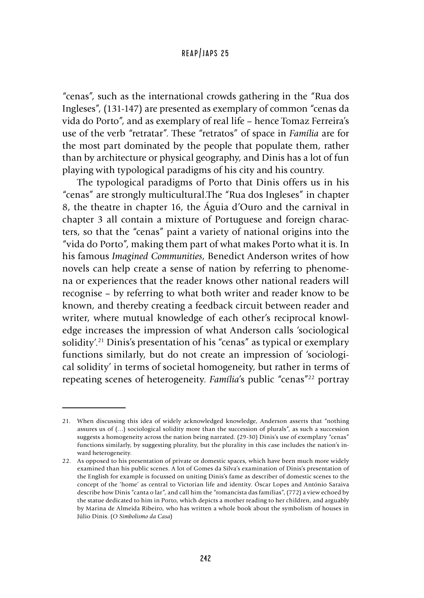"cenas", such as the international crowds gathering in the "Rua dos Ingleses", (131-147) are presented as exemplary of common "cenas da vida do Porto", and as exemplary of real life – hence Tomaz Ferreira's use of the verb "retratar". These "retratos" of space in *Família* are for the most part dominated by the people that populate them, rather than by architecture or physical geography, and Dinis has a lot of fun playing with typological paradigms of his city and his country.

The typological paradigms of Porto that Dinis offers us in his "cenas" are strongly multicultural.The "Rua dos Ingleses" in chapter 8, the theatre in chapter 16, the Águia d'Ouro and the carnival in chapter 3 all contain a mixture of Portuguese and foreign characters, so that the "cenas" paint a variety of national origins into the "vida do Porto", making them part of what makes Porto what it is. In his famous *Imagined Communities*, Benedict Anderson writes of how novels can help create a sense of nation by referring to phenomena or experiences that the reader knows other national readers will recognise – by referring to what both writer and reader know to be known, and thereby creating a feedback circuit between reader and writer, where mutual knowledge of each other's reciprocal knowledge increases the impression of what Anderson calls 'sociological solidity'.<sup>21</sup> Dinis's presentation of his "cenas" as typical or exemplary functions similarly, but do not create an impression of 'sociological solidity' in terms of societal homogeneity, but rather in terms of repeating scenes of heterogeneity. *Família's* public "cenas"<sup>22</sup> portray

<sup>21.</sup> When discussing this idea of widely acknowledged knowledge, Anderson asserts that "nothing assures us of (…) sociological solidity more than the succession of plurals", as such a succession suggests a homogeneity across the nation being narrated. (29-30) Dinis's use of exemplary "cenas" functions similarly, by suggesting plurality, but the plurality in this case includes the nation's inward heterogeneity.

<sup>22.</sup> As opposed to his presentation of private or domestic spaces, which have been much more widely examined than his public scenes. A lot of Gomes da Silva's examination of Dinis's presentation of the English for example is focussed on uniting Dinis's fame as describer of domestic scenes to the concept of the 'home' as central to Victorian life and identity. Óscar Lopes and António Saraiva describe how Dinis "canta o lar", and call him the "romancista das famílias", (772) a view echoed by the statue dedicated to him in Porto, which depicts a mother reading to her children, and arguably by Marina de Almeida Ribeiro, who has written a whole book about the symbolism of houses in Júlio Dinis. (*O Simbolismo da Casa*)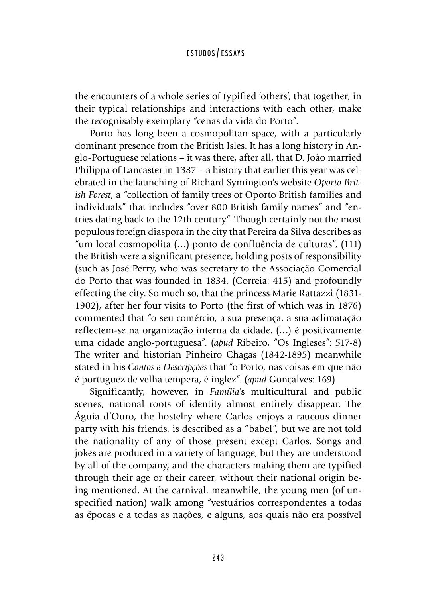the encounters of a whole series of typified 'others', that together, in their typical relationships and interactions with each other, make the recognisably exemplary "cenas da vida do Porto".

Porto has long been a cosmopolitan space, with a particularly dominant presence from the British Isles. It has a long history in Anglo**-**Portuguese relations – it was there, after all, that D. João married Philippa of Lancaster in 1387 – a history that earlier this year was celebrated in the launching of Richard Symington's website *Oporto British Forest*, a "collection of family trees of Oporto British families and individuals" that includes "over 800 British family names" and "entries dating back to the 12th century". Though certainly not the most populous foreign diaspora in the city that Pereira da Silva describes as "um local cosmopolita (…) ponto de confluência de culturas", (111) the British were a significant presence, holding posts of responsibility (such as José Perry, who was secretary to the Associação Comercial do Porto that was founded in 1834, (Correia: 415) and profoundly effecting the city. So much so, that the princess Marie Rattazzi (1831- 1902), after her four visits to Porto (the first of which was in 1876) commented that "o seu comércio, a sua presença, a sua aclimatação reflectem-se na organização interna da cidade. (…) é positivamente uma cidade anglo-portuguesa". (*apud* Ribeiro, "Os Ingleses": 517-8) The writer and historian Pinheiro Chagas (1842-1895) meanwhile stated in his *Contos e Descripções* that "o Porto, nas coisas em que não é portuguez de velha tempera, é inglez". (*apud* Gonçalves: 169)

Significantly, however, in *Família*'s multicultural and public scenes, national roots of identity almost entirely disappear. The Águia d'Ouro, the hostelry where Carlos enjoys a raucous dinner party with his friends, is described as a "babel", but we are not told the nationality of any of those present except Carlos. Songs and jokes are produced in a variety of language, but they are understood by all of the company, and the characters making them are typified through their age or their career, without their national origin being mentioned. At the carnival, meanwhile, the young men (of unspecified nation) walk among "vestuários correspondentes a todas as épocas e a todas as nações, e alguns, aos quais não era possível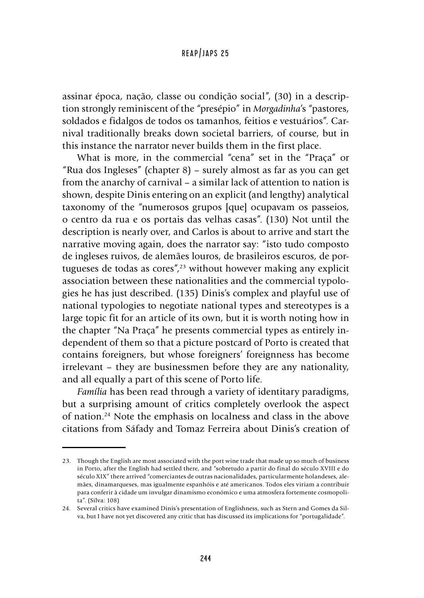assinar época, nação, classe ou condição social", (30) in a description strongly reminiscent of the "presépio" in *Morgadinha*'s "pastores, soldados e fidalgos de todos os tamanhos, feitios e vestuários". Carnival traditionally breaks down societal barriers, of course, but in this instance the narrator never builds them in the first place.

What is more, in the commercial "cena" set in the "Praça" or "Rua dos Ingleses" (chapter 8) – surely almost as far as you can get from the anarchy of carnival – a similar lack of attention to nation is shown, despite Dinis entering on an explicit (and lengthy) analytical taxonomy of the "numerosos grupos [que] ocupavam os passeios, o centro da rua e os portais das velhas casas". (130) Not until the description is nearly over, and Carlos is about to arrive and start the narrative moving again, does the narrator say: "isto tudo composto de ingleses ruivos, de alemães louros, de brasileiros escuros, de portugueses de todas as cores", $23$  without however making any explicit association between these nationalities and the commercial typologies he has just described. (135) Dinis's complex and playful use of national typologies to negotiate national types and stereotypes is a large topic fit for an article of its own, but it is worth noting how in the chapter "Na Praça" he presents commercial types as entirely independent of them so that a picture postcard of Porto is created that contains foreigners, but whose foreigners' foreignness has become irrelevant – they are businessmen before they are any nationality, and all equally a part of this scene of Porto life.

*Família* has been read through a variety of identitary paradigms, but a surprising amount of critics completely overlook the aspect of nation.24 Note the emphasis on localness and class in the above citations from Sáfady and Tomaz Ferreira about Dinis's creation of

<sup>23.</sup> Though the English are most associated with the port wine trade that made up so much of business in Porto, after the English had settled there, and "sobretudo a partir do final do século XVIII e do século XIX" there arrived "comerciantes de outras nacionalidades, particularmente holandeses, alemães, dinamarqueses, mas igualmente espanhóis e até americanos. Todos eles viriam a contribuir para conferir à cidade um invulgar dinamismo económico e uma atmosfera fortemente cosmopolita". (Silva: 108)

<sup>24.</sup> Several critics have examined Dinis's presentation of Englishness, such as Stern and Gomes da Silva, but I have not yet discovered any critic that has discussed its implications for "portugalidade".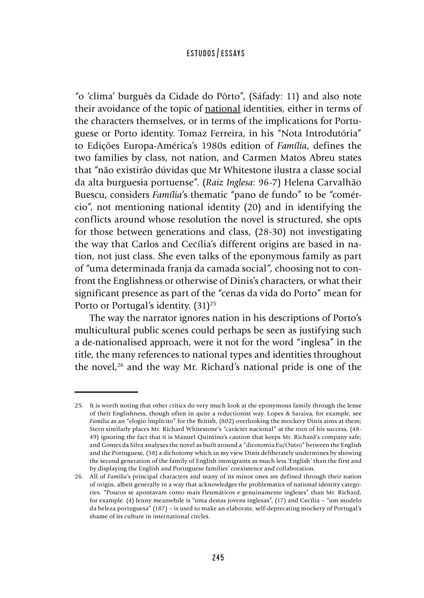"o 'clima' burguês da Cidade do Pôrto", (Sáfady: 11) and also note their avoidance of the topic of national identities, either in terms of the characters themselves, or in terms of the implications for Portuguese or Porto identity. Tomaz Ferreira, in his "Nota Introdutória" to Edições Europa-América's 1980s edition of *Família*, defines the two families by class, not nation, and Carmen Matos Abreu states that "não existirão dúvidas que Mr Whitestone ilustra a classe social da alta burguesia portuense". (*Raiz Inglesa*: 96-7) Helena Carvalhão Buescu, considers *Família*'s thematic "pano de fundo" to be "comércio", not mentioning national identity (20) and in identifying the conflicts around whose resolution the novel is structured, she opts for those between generations and class, (28-30) not investigating the way that Carlos and Cecília's different origins are based in nation, not just class. She even talks of the eponymous family as part of "uma determinada franja da camada social", choosing not to confront the Englishness or otherwise of Dinis's characters, or what their significant presence as part of the "cenas da vida do Porto" mean for Porto or Portugal's identity.  $(31)^{25}$ 

The way the narrator ignores nation in his descriptions of Porto's multicultural public scenes could perhaps be seen as justifying such a de-nationalised approach, were it not for the word "inglesa" in the title, the many references to national types and identities throughout the novel, $26$  and the way Mr. Richard's national pride is one of the

<sup>25.</sup> It is worth noting that other critics do very much look at the eponymous family through the lense of their Englishness, though often in quite a reductionist way. Lopes & Saraiva, for example, see *Família* as an "elogio implícito" for the British, (802) overlooking the mockery Dinis aims at them; Stern similarly places Mr. Richard Whitestone's "carácter nacional" at the root of his success, (48- 49) ignoring the fact that it is Manuel Quintino's caution that keeps Mr. Richard's company safe; and Gomes da Silva analyses the novel as built around a "dicotomia Eu/Outro" between the English and the Portuguese, (58) a dichotomy which in my view Dinis deliberately undermines by showing the second generation of the family of English immigrants as much less 'English' than the first and by displaying the English and Portuguese families' coexistence and collaboration.

<sup>26.</sup> All of *Família*'s principal characters and many of its minor ones are defined through their nation of origin, albeit generally in a way that acknowledges the problematics of national identity categories. "Poucos se apontavam como mais fleumáticos e genuinamente ingleses" than Mr. Richard, for example. (4) Jenny meanwhile is "uma destas jovens inglesas", (17) and Cecília – "um modelo da beleza portuguesa" (187) – is used to make an elaborate, self-deprecating mockery of Portugal's shame of its culture in international circles.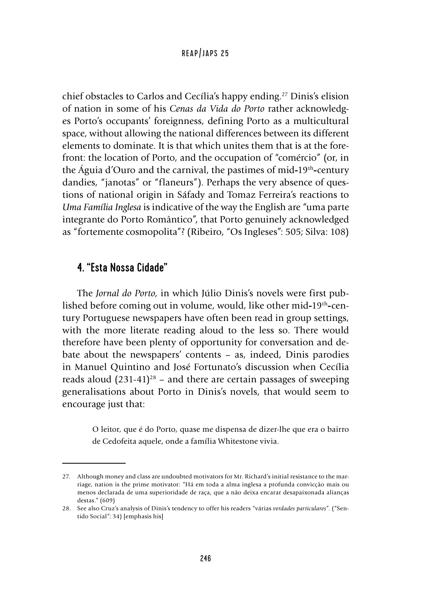chief obstacles to Carlos and Cecília's happy ending.27 Dinis's elision of nation in some of his *Cenas da Vida do Porto* rather acknowledges Porto's occupants' foreignness, defining Porto as a multicultural space, without allowing the national differences between its different elements to dominate. It is that which unites them that is at the forefront: the location of Porto, and the occupation of "comércio" (or, in the Águia d'Ouro and the carnival, the pastimes of mid**-**19th**-**century dandies, "janotas" or "flaneurs"). Perhaps the very absence of questions of national origin in Sáfady and Tomaz Ferreira's reactions to *Uma Família Inglesa* is indicative of the way the English are "uma parte integrante do Porto Romântico", that Porto genuinely acknowledged as "fortemente cosmopolita"? (Ribeiro, "Os Ingleses": 505; Silva: 108)

# 4. "Esta Nossa Cidade"

The *Jornal do Porto*, in which Júlio Dinis's novels were first published before coming out in volume, would, like other mid**-**19th**-**century Portuguese newspapers have often been read in group settings, with the more literate reading aloud to the less so. There would therefore have been plenty of opportunity for conversation and debate about the newspapers' contents – as, indeed, Dinis parodies in Manuel Quintino and José Fortunato's discussion when Cecília reads aloud  $(231-41)^{28}$  – and there are certain passages of sweeping generalisations about Porto in Dinis's novels, that would seem to encourage just that:

> O leitor, que é do Porto, quase me dispensa de dizer-lhe que era o bairro de Cedofeita aquele, onde a família Whitestone vivia.

<sup>27.</sup> Although money and class are undoubted motivators for Mr. Richard's initial resistance to the marriage, nation is the prime motivator: "Há em toda a alma inglesa a profunda convicção mais ou menos declarada de uma superioridade de raça, que a não deixa encarar desapaixonada alianças destas." (609)

<sup>28.</sup> See also Cruz's analysis of Dinis's tendency to offer his readers "várias *verdades particulares*". ("Sentido Social": 34) [emphasis his]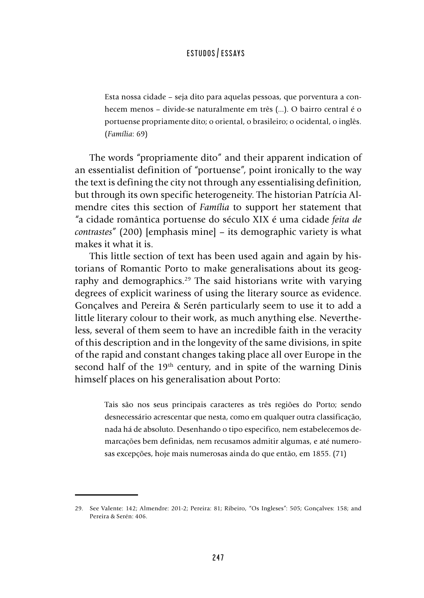Esta nossa cidade – seja dito para aquelas pessoas, que porventura a conhecem menos – divide-se naturalmente em três (...). O bairro central é o portuense propriamente dito; o oriental, o brasileiro; o ocidental, o inglês. (*Família*: 69)

The words "propriamente dito" and their apparent indication of an essentialist definition of "portuense", point ironically to the way the text is defining the city not through any essentialising definition, but through its own specific heterogeneity. The historian Patrícia Almendre cites this section of *Família* to support her statement that "a cidade romântica portuense do século XIX é uma cidade *feita de contrastes*" (200) [emphasis mine] – its demographic variety is what makes it what it is.

This little section of text has been used again and again by historians of Romantic Porto to make generalisations about its geography and demographics.<sup>29</sup> The said historians write with varying degrees of explicit wariness of using the literary source as evidence. Gonçalves and Pereira & Serén particularly seem to use it to add a little literary colour to their work, as much anything else. Nevertheless, several of them seem to have an incredible faith in the veracity of this description and in the longevity of the same divisions, in spite of the rapid and constant changes taking place all over Europe in the second half of the 19<sup>th</sup> century, and in spite of the warning Dinis himself places on his generalisation about Porto:

Tais são nos seus principais caracteres as três regiões do Porto; sendo desnecessário acrescentar que nesta, como em qualquer outra classificação, nada há de absoluto. Desenhando o tipo especifico, nem estabelecemos demarcações bem definidas, nem recusamos admitir algumas, e até numerosas excepções, hoje mais numerosas ainda do que então, em 1855. (71)

<sup>29.</sup> See Valente: 142; Almendre: 201-2; Pereira: 81; Ribeiro, "Os Ingleses": 505; Gonçalves: 158; and Pereira & Serén: 406.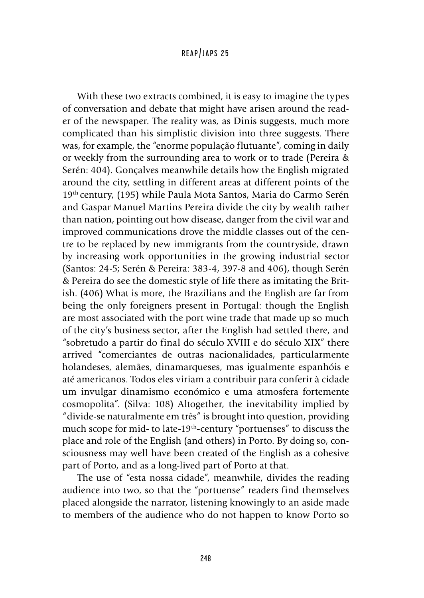With these two extracts combined, it is easy to imagine the types of conversation and debate that might have arisen around the reader of the newspaper. The reality was, as Dinis suggests, much more complicated than his simplistic division into three suggests. There was, for example, the "enorme população flutuante", coming in daily or weekly from the surrounding area to work or to trade (Pereira & Serén: 404). Gonçalves meanwhile details how the English migrated around the city, settling in different areas at different points of the 19th century, (195) while Paula Mota Santos, Maria do Carmo Serén and Gaspar Manuel Martins Pereira divide the city by wealth rather than nation, pointing out how disease, danger from the civil war and improved communications drove the middle classes out of the centre to be replaced by new immigrants from the countryside, drawn by increasing work opportunities in the growing industrial sector (Santos: 24-5; Serén & Pereira: 383-4, 397-8 and 406), though Serén & Pereira do see the domestic style of life there as imitating the British. (406) What is more, the Brazilians and the English are far from being the only foreigners present in Portugal: though the English are most associated with the port wine trade that made up so much of the city's business sector, after the English had settled there, and "sobretudo a partir do final do século XVIII e do século XIX" there arrived "comerciantes de outras nacionalidades, particularmente holandeses, alemães, dinamarqueses, mas igualmente espanhóis e até americanos. Todos eles viriam a contribuir para conferir à cidade um invulgar dinamismo económico e uma atmosfera fortemente cosmopolita". (Silva: 108) Altogether, the inevitability implied by "divide-se naturalmente em três" is brought into question, providing much scope for mid**-** to late**-**19th**-**century "portuenses" to discuss the place and role of the English (and others) in Porto. By doing so, consciousness may well have been created of the English as a cohesive part of Porto, and as a long-lived part of Porto at that.

The use of "esta nossa cidade", meanwhile, divides the reading audience into two, so that the "portuense" readers find themselves placed alongside the narrator, listening knowingly to an aside made to members of the audience who do not happen to know Porto so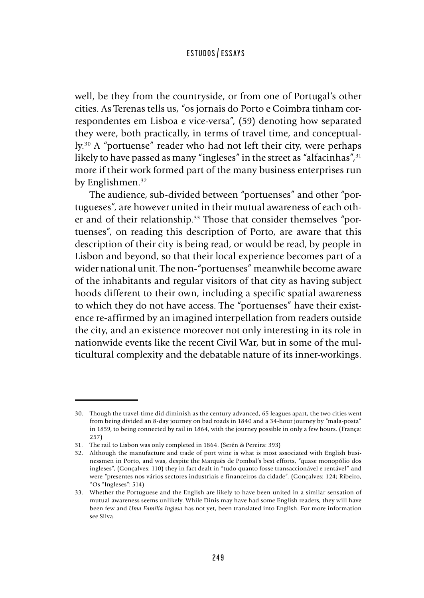well, be they from the countryside, or from one of Portugal's other cities. As Terenas tells us, "os jornais do Porto e Coimbra tinham correspondentes em Lisboa e vice-versa", (59) denoting how separated they were, both practically, in terms of travel time, and conceptually.30 A "portuense" reader who had not left their city, were perhaps likely to have passed as many "ingleses" in the street as "alfacinhas", $31$ more if their work formed part of the many business enterprises run by Englishmen.<sup>32</sup>

The audience, sub-divided between "portuenses" and other "portugueses", are however united in their mutual awareness of each other and of their relationship.<sup>33</sup> Those that consider themselves "portuenses", on reading this description of Porto, are aware that this description of their city is being read, or would be read, by people in Lisbon and beyond, so that their local experience becomes part of a wider national unit. The non**-**"portuenses" meanwhile become aware of the inhabitants and regular visitors of that city as having subject hoods different to their own, including a specific spatial awareness to which they do not have access. The "portuenses" have their existence re**-**affirmed by an imagined interpellation from readers outside the city, and an existence moreover not only interesting in its role in nationwide events like the recent Civil War, but in some of the multicultural complexity and the debatable nature of its inner-workings.

<sup>30.</sup> Though the travel-time did diminish as the century advanced, 65 leagues apart, the two cities went from being divided an 8-day journey on bad roads in 1840 and a 34-hour journey by "mala-posta" in 1859, to being connected by rail in 1864, with the journey possible in only a few hours. (França: 257)

<sup>31.</sup> The rail to Lisbon was only completed in 1864. (Serén & Pereira: 393)

<sup>32.</sup> Although the manufacture and trade of port wine is what is most associated with English businessmen in Porto, and was, despite the Marquês de Pombal's best efforts, "quase monopólio dos ingleses", (Gonçalves: 110) they in fact dealt in "tudo quanto fosse transaccionável e rentável" and were "presentes nos vários sectores industriais e financeiros da cidade". (Gonçalves: 124; Ribeiro, "Os "Ingleses": 514)

<sup>33.</sup> Whether the Portuguese and the English are likely to have been united in a similar sensation of mutual awareness seems unlikely. While Dinis may have had some English readers, they will have been few and *Uma Família Inglesa* has not yet, been translated into English. For more information see Silva.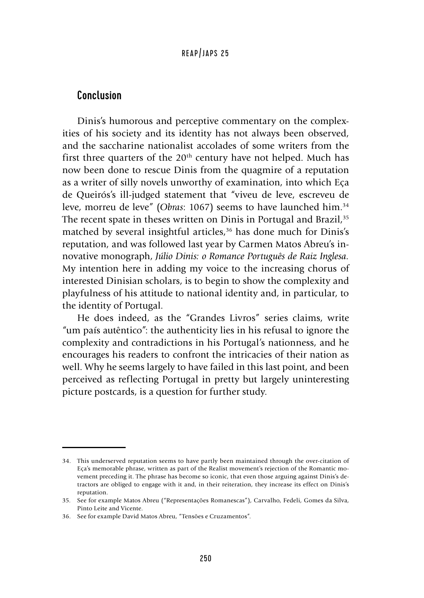## Conclusion

Dinis's humorous and perceptive commentary on the complexities of his society and its identity has not always been observed, and the saccharine nationalist accolades of some writers from the first three quarters of the  $20<sup>th</sup>$  century have not helped. Much has now been done to rescue Dinis from the quagmire of a reputation as a writer of silly novels unworthy of examination, into which Eça de Queirós's ill-judged statement that "viveu de leve, escreveu de leve, morreu de leve" (*Obras*: 1067) seems to have launched him.34 The recent spate in theses written on Dinis in Portugal and Brazil,<sup>35</sup> matched by several insightful articles,<sup>36</sup> has done much for Dinis's reputation, and was followed last year by Carmen Matos Abreu's innovative monograph, *Júlio Dinis: o Romance Português de Raiz Inglesa.*  My intention here in adding my voice to the increasing chorus of interested Dinisian scholars, is to begin to show the complexity and playfulness of his attitude to national identity and, in particular, to the identity of Portugal.

He does indeed, as the "Grandes Livros" series claims, write "um país autêntico": the authenticity lies in his refusal to ignore the complexity and contradictions in his Portugal's nationness, and he encourages his readers to confront the intricacies of their nation as well. Why he seems largely to have failed in this last point, and been perceived as reflecting Portugal in pretty but largely uninteresting picture postcards, is a question for further study.

<sup>34.</sup> This underserved reputation seems to have partly been maintained through the over-citation of Eça's memorable phrase, written as part of the Realist movement's rejection of the Romantic movement preceding it. The phrase has become so iconic, that even those arguing against Dinis's detractors are obliged to engage with it and, in their reiteration, they increase its effect on Dinis's reputation.

<sup>35.</sup> See for example Matos Abreu ("Representações Romanescas"), Carvalho, Fedeli, Gomes da Silva, Pinto Leite and Vicente.

<sup>36.</sup> See for example David Matos Abreu, "Tensões e Cruzamentos".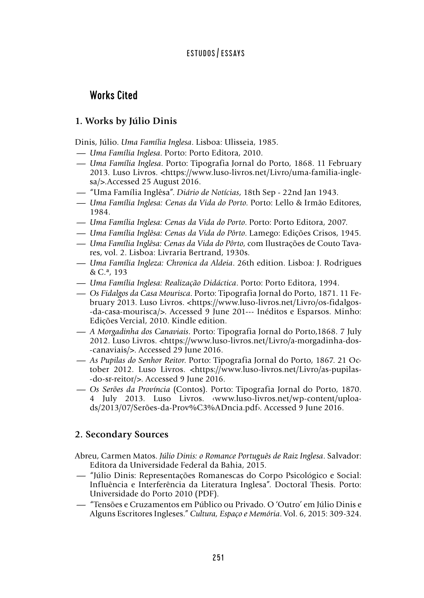# Works Cited

## **1. Works by Júlio Dinis**

Dinis, Júlio. *Uma Família Inglesa*. Lisboa: Ulisseia, 1985.

- -*Uma Família Inglesa*. Porto: Porto Editora, 2010.
- -*Uma Família Inglesa*. Porto: Tipografia Jornal do Porto, 1868. 11 February 2013. Luso Livros. <https://www.luso-livros.net/Livro/uma-familia-inglesa/>.Accessed 25 August 2016.
- -"Uma Família Inglêsa". *Diário de Notícias*, 18th Sep 22nd Jan 1943.
- -*Uma Família Inglesa: Cenas da Vida do Porto*. Porto: Lello & Irmão Editores, 1984. -*Uma Família Inglesa: Cenas da Vida do Porto*. Porto: Porto Editora, 2007. -*Uma Família Inglêsa: Cenas da Vida do Pôrto*. Lamego: Edições Crisos, 1945.
- 
- 
- *Uma Família Inglesa: Cenas da Vida do Porto*. Porto: Porto Editora, 2007.<br>— *Uma Família Inglêsa: Cenas da Vida do Pôrto*. Lamego: Edições Crisos, 1945.<br>— *Uma Família Inglêsa: Cenas da Vida do Pôrto*, com Ilustrações d res, vol. 2. Lisboa: Livraria Bertrand, 1930s. - *Uma Família Inglêsa: Cenas da Vida do Pôrto*, com Ilustrações de Couto Tava-
- & C.ª, 193 -*Uma Família Inglesa: Realização Didáctica*. Porto: Porto Editora, 1994.
- 
- -*Os Fidalgos da Casa Mourisca*. Porto: Tipografia Jornal do Porto, 1871. 11 February 2013. Luso Livros. <https://www.luso-livros.net/Livro/os-fidalgos- -da-casa-mourisca/>. Accessed 9 June 201--- Inéditos e Esparsos. Minho: Edições Vercial, 2010. Kindle edition.
- -*A Morgadinha dos Canaviais*. Porto: Tipografia Jornal do Porto,1868. 7 July 2012. Luso Livros. <https://www.luso-livros.net/Livro/a-morgadinha-dos- -canaviais/>. Accessed 29 June 2016.
- -*As Pupilas do Senhor Reitor*. Porto: Tipografia Jornal do Porto, 1867. 21 October 2012. Luso Livros. <https://www.luso-livros.net/Livro/as-pupilas- -do-sr-reitor/>. Accessed 9 June 2016.
- -*Os Serões da Província* (Contos). Porto: Tipografia Jornal do Porto, 1870. 4 July 2013. Luso Livros. ‹www.luso-livros.net/wp-content/uploads/2013/07/Serões-da-Prov%C3%ADncia.pdf›. Accessed 9 June 2016.

# **2. Secondary Sources**

Abreu, Carmen Matos. *Júlio Dinis: o Romance Português de Raiz Inglesa*. Salvador: Editora da Universidade Federal da Bahia, 2015.

- -"Júlio Dinis: Representações Romanescas do Corpo Psicológico e Social: Influência e Interferência da Literatura Inglesa". Doctoral Thesis. Porto: -"Tensões e Cruzamentos em Público ou Privado. O 'Outro' em Júlio Dinis e Universidade do Porto 2010 (PDF).
- Alguns Escritores Ingleses." *Cultura, Espaço e Memória*. Vol. 6, 2015: 309-324.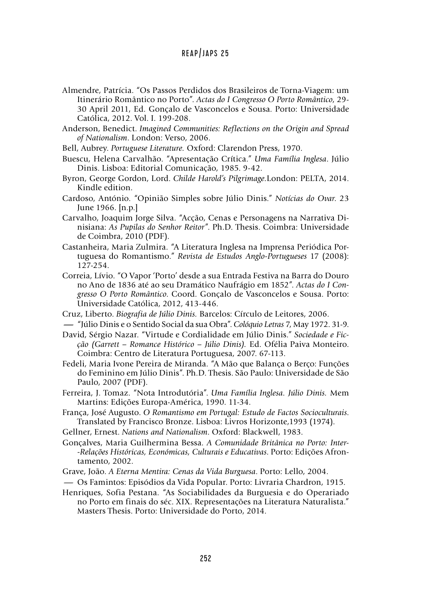- Almendre, Patrícia. "Os Passos Perdidos dos Brasileiros de Torna-Viagem: um Itinerário Romântico no Porto". *Actas do I Congresso O Porto Romântico*, 29- 30 April 2011, Ed. Gonçalo de Vasconcelos e Sousa. Porto: Universidade Católica, 2012. Vol. I. 199-208.
- Anderson, Benedict. *Imagined Communities: Reflections on the Origin and Spread of Nationalism*. London: Verso, 2006.
- Bell, Aubrey. *Portuguese Literature.* Oxford: Clarendon Press, 1970.
- Buescu, Helena Carvalhão. "Apresentação Crítica." *Uma Família Inglesa*. Júlio Dinis. Lisboa: Editorial Comunicação, 1985. 9-42.
- Byron, George Gordon, Lord. *Childe Harold's Pilgrimage.*London: PELTA, 2014. Kindle edition.
- Cardoso, António. "Opinião Simples sobre Júlio Dinis." *Notícias do Ovar*. 23 June 1966. [n.p.]
- Carvalho, Joaquim Jorge Silva. "Acção, Cenas e Personagens na Narrativa Dinisiana: *As Pupilas do Senhor Reitor*". Ph.D. Thesis. Coimbra: Universidade de Coimbra, 2010 (PDF).
- Castanheira, Maria Zulmira. "A Literatura Inglesa na Imprensa Periódica Portuguesa do Romantismo." *Revista de Estudos Anglo-Portugueses* 17 (2008): 127-254.
- Correia, Lívio. "O Vapor 'Porto' desde a sua Entrada Festiva na Barra do Douro no Ano de 1836 até ao seu Dramático Naufrágio em 1852". *Actas do I Congresso O Porto Romântico*. Coord. Gonçalo de Vasconcelos e Sousa. Porto: Universidade Católica, 2012, 413-446. **-**"Júlio Dinis e o Sentido Social da sua Obra". *Colóquio Letras* 7, May 1972. 31-9.
- Cruz, Liberto. *Biografia de Júlio Dinis.* Barcelos: Círculo de Leitores, 2006.
- 
- David, Sérgio Nazar. "Virtude e Cordialidade em Júlio Dinis." *Sociedade e Ficção (Garrett – Romance Histórico – Júlio Dinis).* Ed. Ofélia Paiva Monteiro. Coimbra: Centro de Literatura Portuguesa, 2007. 67-113.
- Fedeli, Maria Ivone Pereira de Miranda. "A Mão que Balança o Berço: Funções do Feminino em Júlio Dinis". Ph.D. Thesis. São Paulo: Universidade de São Paulo, 2007 (PDF).
- Ferreira, J. Tomaz. "Nota Introdutória". *Uma Família Inglesa. Júlio Dinis.* Mem Martins: Edições Europa-América, 1990. 11-34.
- França, José Augusto. *O Romantismo em Portugal: Estudo de Factos Socioculturais*. Translated by Francisco Bronze. Lisboa: Livros Horizonte,1993 (1974).
- Gellner, Ernest. *Nations and Nationalism*. Oxford: Blackwell, 1983.
- Gonçalves, Maria Guilhermina Bessa. *A Comunidade Britânica no Porto: Inter- -Relações Históricas, Económicas, Culturais e Educativas*. Porto: Edições Afrontamento, 2002.
- Grave, João. *A Eterna Mentira: Cenas da Vida Burguesa*. Porto: Lello, 2004.
- -Os Famintos: Episódios da Vida Popular. Porto: Livraria Chardron, 1915.
- Henriques, Sofia Pestana. "As Sociabilidades da Burguesia e do Operariado no Porto em finais do séc. XIX. Representações na Literatura Naturalista." Masters Thesis. Porto: Universidade do Porto, 2014.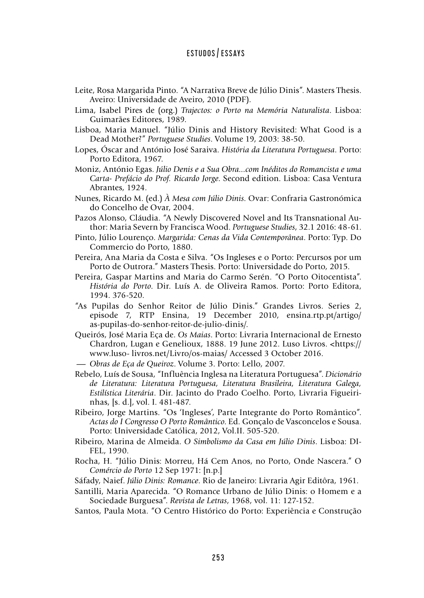- Leite, Rosa Margarida Pinto. "A Narrativa Breve de Júlio Dinis". Masters Thesis. Aveiro: Universidade de Aveiro, 2010 (PDF).
- Lima, Isabel Pires de (org.) *Trajectos: o Porto na Memória Naturalista*. Lisboa: Guimarães Editores, 1989.
- Lisboa, Maria Manuel. "Júlio Dinis and History Revisited: What Good is a Dead Mother?" *Portuguese Studies*. Volume 19, 2003: 38-50.
- Lopes, Óscar and António José Saraiva. *História da Literatura Portuguesa*. Porto: Porto Editora, 1967.
- Moniz, António Egas. *Júlio Denis e a Sua Obra...com Inéditos do Romancista e uma Carta- Prefácio do Prof. Ricardo Jorge*. Second edition. Lisboa: Casa Ventura Abrantes, 1924.
- Nunes, Ricardo M. (ed.) *À Mesa com Júlio Dinis*. Ovar: Confraria Gastronómica do Concelho de Ovar, 2004.
- Pazos Alonso, Cláudia. "A Newly Discovered Novel and Its Transnational Author: Maria Severn by Francisca Wood. *Portuguese Studies*, 32.1 2016: 48-61.
- Pinto, Júlio Lourenço. *Margarida: Cenas da Vida Contemporânea*. Porto: Typ. Do Commercio do Porto, 1880.
- Pereira, Ana Maria da Costa e Silva. "Os Ingleses e o Porto: Percursos por um Porto de Outrora." Masters Thesis. Porto: Universidade do Porto, 2015.
- Pereira, Gaspar Martins and Maria do Carmo Serén. "O Porto Oitocentista". *História do Porto*. Dir. Luís A. de Oliveira Ramos. Porto: Porto Editora, 1994. 376-520.
- "As Pupilas do Senhor Reitor de Júlio Dinis." Grandes Livros. Series 2, episode 7, RTP Ensina, 19 December 2010, ensina.rtp.pt/artigo/ as-pupilas-do-senhor-reitor-de-julio-dinis/.
- Queirós, José Maria Eça de. *Os Maias*. Porto: Livraria Internacional de Ernesto Chardron, Lugan e Genelioux, 1888. 19 June 2012. Luso Livros. <https:// www.luso- livros.net/Livro/os-maias/ Accessed 3 October 2016. Chardron, Lugan e Genelioux, 1888. 19 June 2012. I<br>Chardron, Lugan e Genelioux, 1888. 19 June 2012. I<br>www.luso-livros.net/Livro/os-maias/ Accessed 3 Oct<br>*— Obras de Eça de Queiroz*. Volume 3. Porto: Lello, 2007.<br>Rebelo, Lu
- 
- Rebelo, Luís de Sousa, "Influência Inglesa na Literatura Portuguesa". *Dicionário de Literatura: Literatura Portuguesa, Literatura Brasileira, Literatura Galega, Estilística Literária*. Dir. Jacinto do Prado Coelho. Porto, Livraria Figueirinhas, [s. d.], vol. I. 481-487.
- Ribeiro, Jorge Martins. "Os 'Ingleses', Parte Integrante do Porto Romântico". *Actas do I Congresso O Porto Romântico*. Ed. Gonçalo de Vasconcelos e Sousa. Porto: Universidade Católica, 2012, Vol.II. 505-520.
- Ribeiro, Marina de Almeida. *O Simbolismo da Casa em Júlio Dinis*. Lisboa: DI-FEL, 1990.
- Rocha, H. "Júlio Dinis: Morreu, Há Cem Anos, no Porto, Onde Nascera." O *Comércio do Porto* 12 Sep 1971: [n.p.]
- Sáfady, Naief. *Júlio Dinis: Romance*. Rio de Janeiro: Livraria Agir Editôra, 1961.
- Santilli, Maria Aparecida. "O Romance Urbano de Júlio Dinis: o Homem e a Sociedade Burguesa". *Revista de Letras*, 1968, vol. 11: 127-152.
- Santos, Paula Mota. "O Centro Histórico do Porto: Experiência e Construção